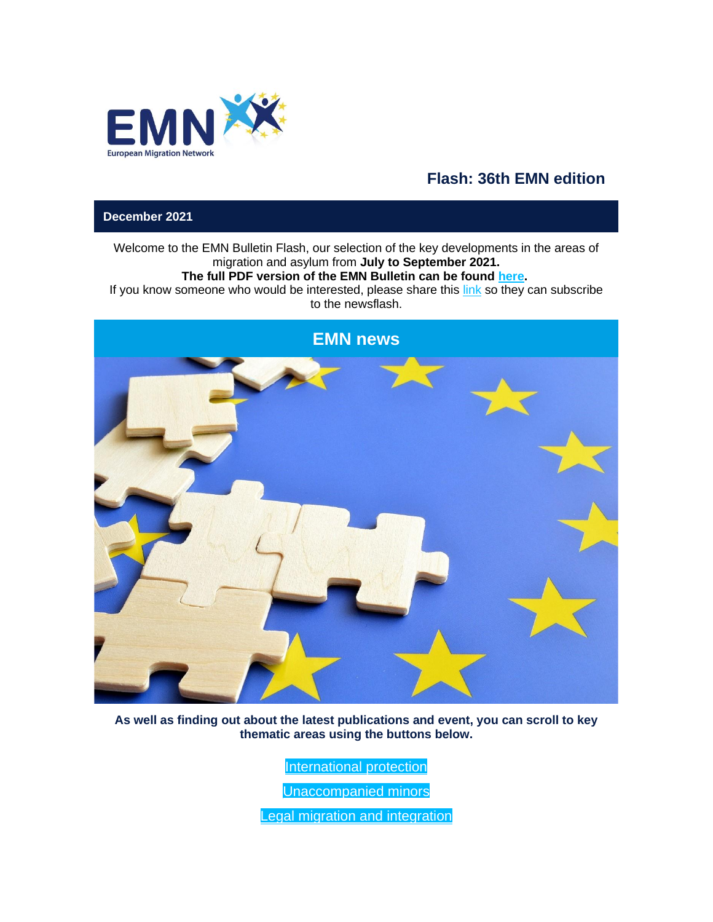

# **Flash: 36th EMN edition**

**December 2021**

Welcome to the EMN Bulletin Flash, our selection of the key developments in the areas of migration and asylum from **July to September 2021.**

### **The full PDF version of the EMN Bulletin can be found [here.](https://www.next-ma.eu/click.html?x=a62e&lc=asOLKE&mc=c&s=zqRuZr&u=xcueJ&z=66docEs&)**

If you know someone who would be interested, please share this  $\frac{\mathsf{link}}{\mathsf{link}}$  $\frac{\mathsf{link}}{\mathsf{link}}$  $\frac{\mathsf{link}}{\mathsf{link}}$  so they can subscribe to the newsflash.



**As well as finding out about the latest publications and event, you can scroll to key thematic areas using the buttons below.**

[International protection](%20t%20)

[Unaccompanied minors](%20t%20)

[Legal migration and integration](%20t%20)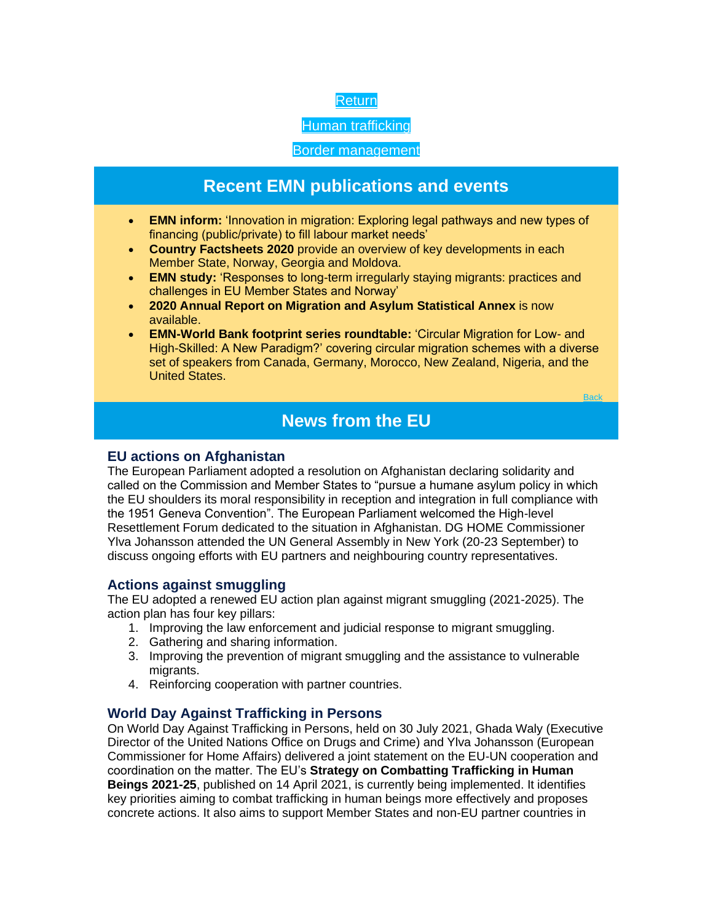

[Human trafficking](%20t%20)

[Border management](%20t%20)

# **Recent EMN publications and events**

- **EMN inform:** 'Innovation in migration: Exploring legal pathways and new types of financing (public/private) to fill labour market needs'
- **Country Factsheets 2020** provide an overview of key developments in each Member State, Norway, Georgia and Moldova.
- **EMN study:** 'Responses to long-term irregularly staying migrants: practices and challenges in EU Member States and Norway'
- **2020 Annual Report on Migration and Asylum Statistical Annex** is now available.
- **EMN-World Bank footprint series roundtable:** 'Circular Migration for Low- and High-Skilled: A New Paradigm?' covering circular migration schemes with a diverse set of speakers from Canada, Germany, Morocco, New Zealand, Nigeria, and the United States.

**[Back](%20t%20)** 

# **News from the EU**

# **EU actions on Afghanistan**

The European Parliament adopted a resolution on Afghanistan declaring solidarity and called on the Commission and Member States to "pursue a humane asylum policy in which the EU shoulders its moral responsibility in reception and integration in full compliance with the 1951 Geneva Convention". The European Parliament welcomed the High-level Resettlement Forum dedicated to the situation in Afghanistan. DG HOME Commissioner Ylva Johansson attended the UN General Assembly in New York (20-23 September) to discuss ongoing efforts with EU partners and neighbouring country representatives.

# **Actions against smuggling**

The EU adopted a renewed EU action plan against migrant smuggling (2021-2025). The action plan has four key pillars:

- 1. Improving the law enforcement and judicial response to migrant smuggling.
- 2. Gathering and sharing information.
- 3. Improving the prevention of migrant smuggling and the assistance to vulnerable migrants.
- 4. Reinforcing cooperation with partner countries.

# **World Day Against Trafficking in Persons**

On World Day Against Trafficking in Persons, held on 30 July 2021, Ghada Waly (Executive Director of the United Nations Office on Drugs and Crime) and Ylva Johansson (European Commissioner for Home Affairs) delivered a joint statement on the EU-UN cooperation and coordination on the matter. The EU's **Strategy on Combatting Trafficking in Human Beings 2021-25**, published on 14 April 2021, is currently being implemented. It identifies key priorities aiming to combat trafficking in human beings more effectively and proposes concrete actions. It also aims to support Member States and non-EU partner countries in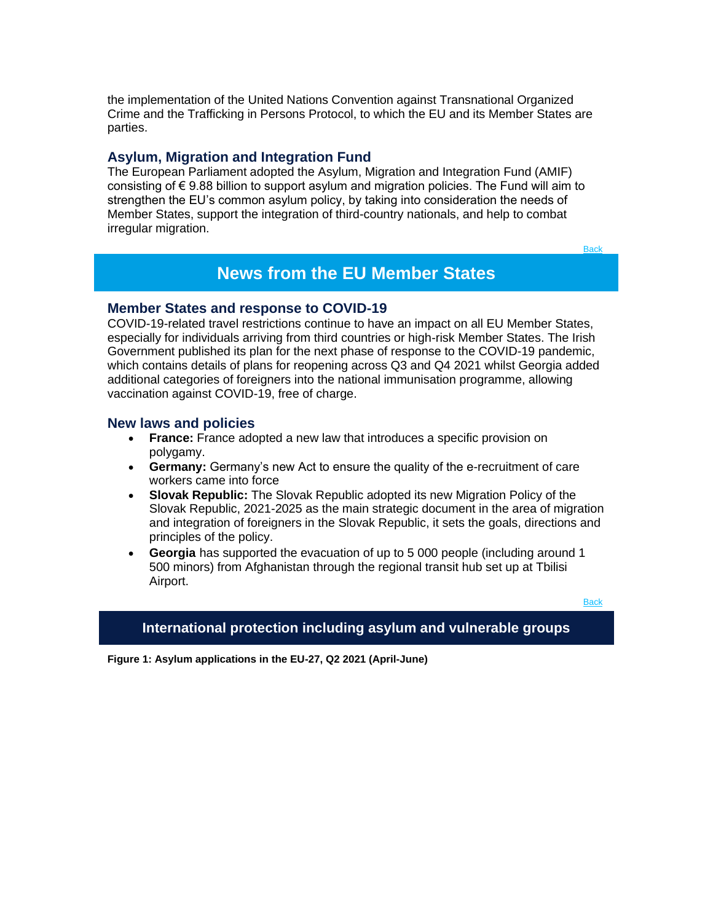the implementation of the United Nations Convention against Transnational Organized Crime and the Trafficking in Persons Protocol, to which the EU and its Member States are parties.

#### **Asylum, Migration and Integration Fund**

The European Parliament adopted the Asylum, Migration and Integration Fund (AMIF) consisting of € 9.88 billion to support asylum and migration policies. The Fund will aim to strengthen the EU's common asylum policy, by taking into consideration the needs of Member States, support the integration of third-country nationals, and help to combat irregular migration.

**[Back](%20t%20)** 

# **News from the EU Member States**

#### **Member States and response to COVID-19**

COVID-19-related travel restrictions continue to have an impact on all EU Member States, especially for individuals arriving from third countries or high-risk Member States. The Irish Government published its plan for the next phase of response to the COVID-19 pandemic, which contains details of plans for reopening across Q3 and Q4 2021 whilst Georgia added additional categories of foreigners into the national immunisation programme, allowing vaccination against COVID-19, free of charge.

#### **New laws and policies**

- **France:** France adopted a new law that introduces a specific provision on polygamy.
- **Germany:** Germany's new Act to ensure the quality of the e-recruitment of care workers came into force
- **Slovak Republic:** The Slovak Republic adopted its new Migration Policy of the Slovak Republic, 2021-2025 as the main strategic document in the area of migration and integration of foreigners in the Slovak Republic, it sets the goals, directions and principles of the policy.
- **Georgia** has supported the evacuation of up to 5 000 people (including around 1 500 minors) from Afghanistan through the regional transit hub set up at Tbilisi Airport.

**[Back](%20t%20)** 

#### **International protection including asylum and vulnerable groups**

**Figure 1: Asylum applications in the EU-27, Q2 2021 (April-June)**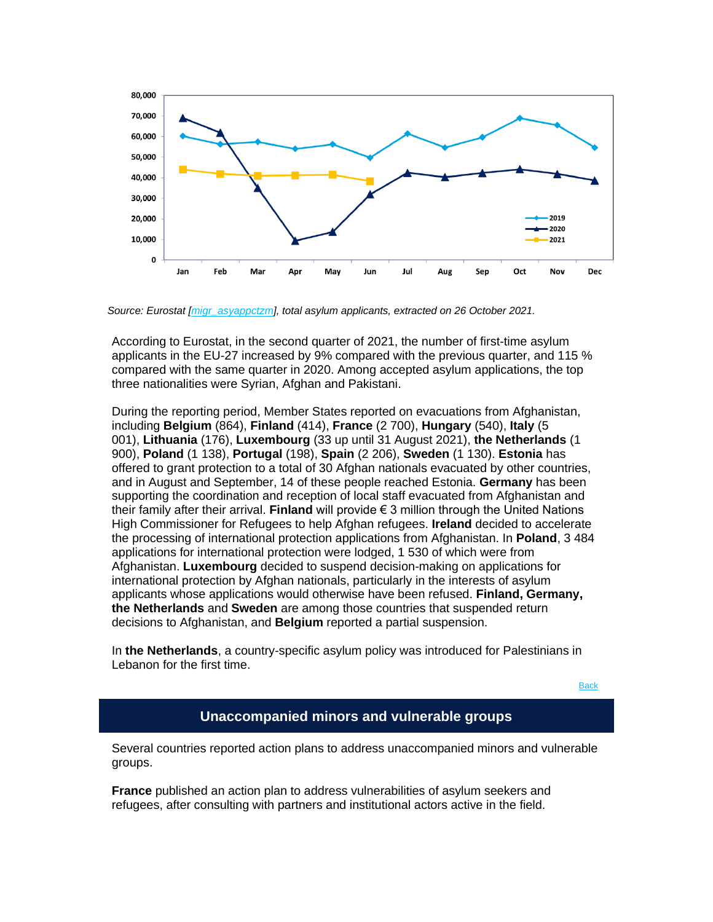

*Source: Eurostat [\[migr\\_asyappctzm\]](https://www.next-ma.eu/click.html?x=a62e&lc=asOLKb&mc=c&s=zqRuZr&u=xcueJ&z=66pSJwx&), total asylum applicants, extracted on 26 October 2021.*

According to Eurostat, in the second quarter of 2021, the number of first-time asylum applicants in the EU-27 increased by 9% compared with the previous quarter, and 115 % compared with the same quarter in 2020. Among accepted asylum applications, the top three nationalities were Syrian, Afghan and Pakistani.

During the reporting period, Member States reported on evacuations from Afghanistan, including **Belgium** (864), **Finland** (414), **France** (2 700), **Hungary** (540), **Italy** (5 001), **Lithuania** (176), **Luxembourg** (33 up until 31 August 2021), **the Netherlands** (1 900), **Poland** (1 138), **Portugal** (198), **Spain** (2 206), **Sweden** (1 130). **Estonia** has offered to grant protection to a total of 30 Afghan nationals evacuated by other countries, and in August and September, 14 of these people reached Estonia. **Germany** has been supporting the coordination and reception of local staff evacuated from Afghanistan and their family after their arrival. **Finland** will provide € 3 million through the United Nations High Commissioner for Refugees to help Afghan refugees. **Ireland** decided to accelerate the processing of international protection applications from Afghanistan. In **Poland**, 3 484 applications for international protection were lodged, 1 530 of which were from Afghanistan. **Luxembourg** decided to suspend decision-making on applications for international protection by Afghan nationals, particularly in the interests of asylum applicants whose applications would otherwise have been refused. **Finland, Germany, the Netherlands** and **Sweden** are among those countries that suspended return decisions to Afghanistan, and **Belgium** reported a partial suspension.

In **the Netherlands**, a country-specific asylum policy was introduced for Palestinians in Lebanon for the first time.

[Back](%20t%20)

# **Unaccompanied minors and vulnerable groups**

Several countries reported action plans to address unaccompanied minors and vulnerable groups.

**France** published an action plan to address vulnerabilities of asylum seekers and refugees, after consulting with partners and institutional actors active in the field.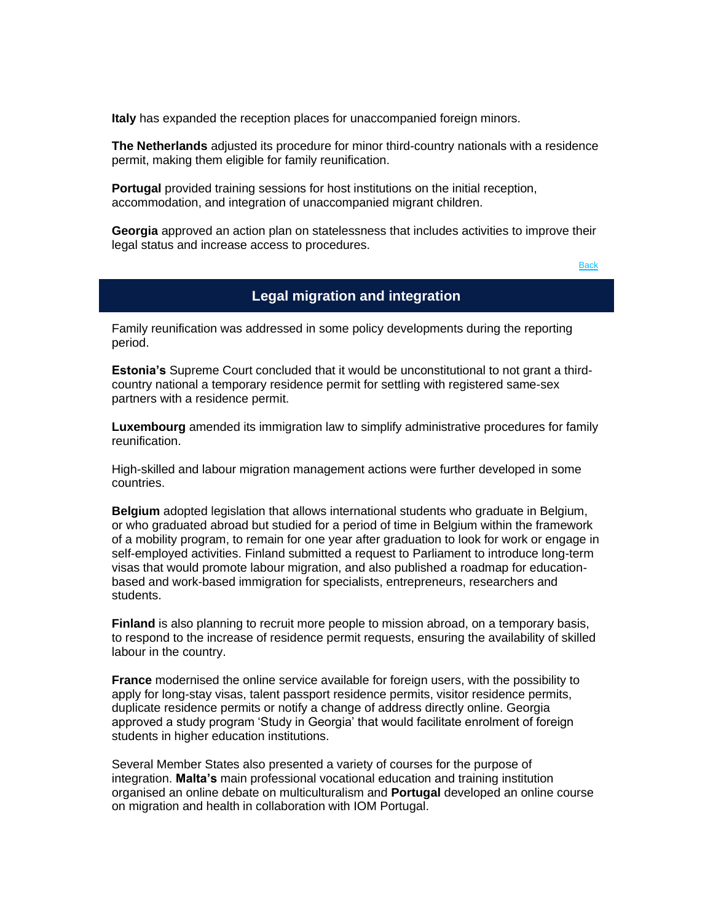**Italy** has expanded the reception places for unaccompanied foreign minors.

**The Netherlands** adjusted its procedure for minor third-country nationals with a residence permit, making them eligible for family reunification.

**Portugal** provided training sessions for host institutions on the initial reception, accommodation, and integration of unaccompanied migrant children.

**Georgia** approved an action plan on statelessness that includes activities to improve their legal status and increase access to procedures.

**[Back](%20t%20)** 

# **Legal migration and integration**

Family reunification was addressed in some policy developments during the reporting period.

**Estonia's** Supreme Court concluded that it would be unconstitutional to not grant a thirdcountry national a temporary residence permit for settling with registered same-sex partners with a residence permit.

**Luxembourg** amended its immigration law to simplify administrative procedures for family reunification.

High-skilled and labour migration management actions were further developed in some countries.

**Belgium** adopted legislation that allows international students who graduate in Belgium, or who graduated abroad but studied for a period of time in Belgium within the framework of a mobility program, to remain for one year after graduation to look for work or engage in self-employed activities. Finland submitted a request to Parliament to introduce long-term visas that would promote labour migration, and also published a roadmap for educationbased and work-based immigration for specialists, entrepreneurs, researchers and students.

**Finland** is also planning to recruit more people to mission abroad, on a temporary basis, to respond to the increase of residence permit requests, ensuring the availability of skilled labour in the country.

**France** modernised the online service available for foreign users, with the possibility to apply for long-stay visas, talent passport residence permits, visitor residence permits, duplicate residence permits or notify a change of address directly online. Georgia approved a study program 'Study in Georgia' that would facilitate enrolment of foreign students in higher education institutions.

Several Member States also presented a variety of courses for the purpose of integration. **Malta's** main professional vocational education and training institution organised an online debate on multiculturalism and **Portugal** developed an online course on migration and health in collaboration with IOM Portugal.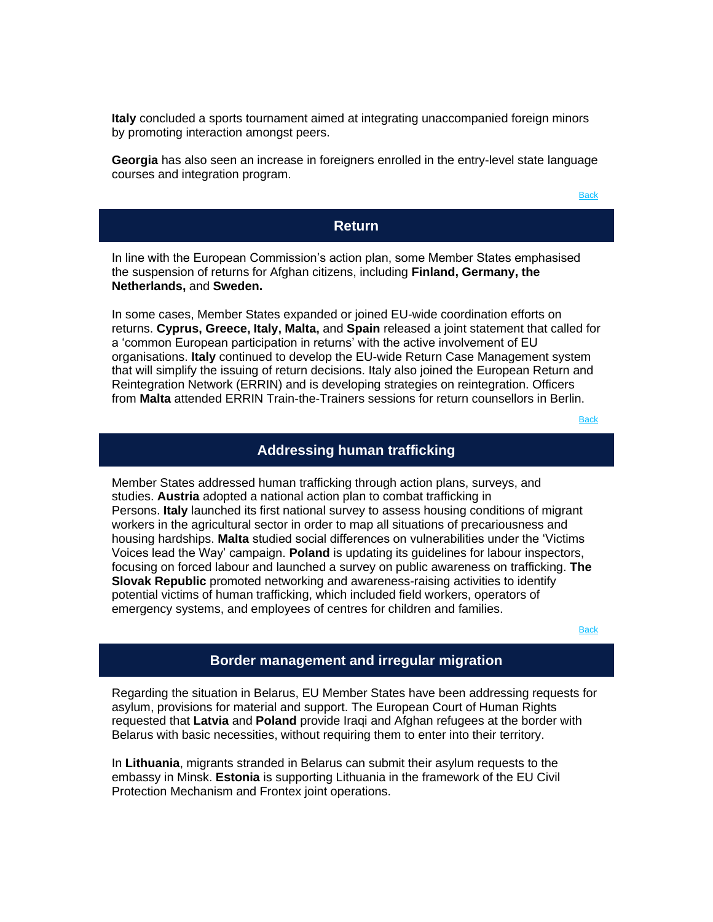**Italy** concluded a sports tournament aimed at integrating unaccompanied foreign minors by promoting interaction amongst peers.

**Georgia** has also seen an increase in foreigners enrolled in the entry-level state language courses and integration program.

**[Back](%20t%20)** 

### **Return**

In line with the European Commission's action plan, some Member States emphasised the suspension of returns for Afghan citizens, including **Finland, Germany, the Netherlands,** and **Sweden.**

In some cases, Member States expanded or joined EU-wide coordination efforts on returns. **Cyprus, Greece, Italy, Malta,** and **Spain** released a joint statement that called for a 'common European participation in returns' with the active involvement of EU organisations. **Italy** continued to develop the EU-wide Return Case Management system that will simplify the issuing of return decisions. Italy also joined the European Return and Reintegration Network (ERRIN) and is developing strategies on reintegration. Officers from **Malta** attended ERRIN Train-the-Trainers sessions for return counsellors in Berlin.

**[Back](%20t%20)** 

# **Addressing human trafficking**

Member States addressed human trafficking through action plans, surveys, and studies. **Austria** adopted a national action plan to combat trafficking in Persons. **Italy** launched its first national survey to assess housing conditions of migrant workers in the agricultural sector in order to map all situations of precariousness and housing hardships. **Malta** studied social differences on vulnerabilities under the 'Victims Voices lead the Way' campaign. **Poland** is updating its guidelines for labour inspectors, focusing on forced labour and launched a survey on public awareness on trafficking. **The Slovak Republic** promoted networking and awareness-raising activities to identify potential victims of human trafficking, which included field workers, operators of emergency systems, and employees of centres for children and families.

**[Back](%20t%20)** 

# **Border management and irregular migration**

Regarding the situation in Belarus, EU Member States have been addressing requests for asylum, provisions for material and support. The European Court of Human Rights requested that **Latvia** and **Poland** provide Iraqi and Afghan refugees at the border with Belarus with basic necessities, without requiring them to enter into their territory.

In **Lithuania**, migrants stranded in Belarus can submit their asylum requests to the embassy in Minsk. **Estonia** is supporting Lithuania in the framework of the EU Civil Protection Mechanism and Frontex joint operations.